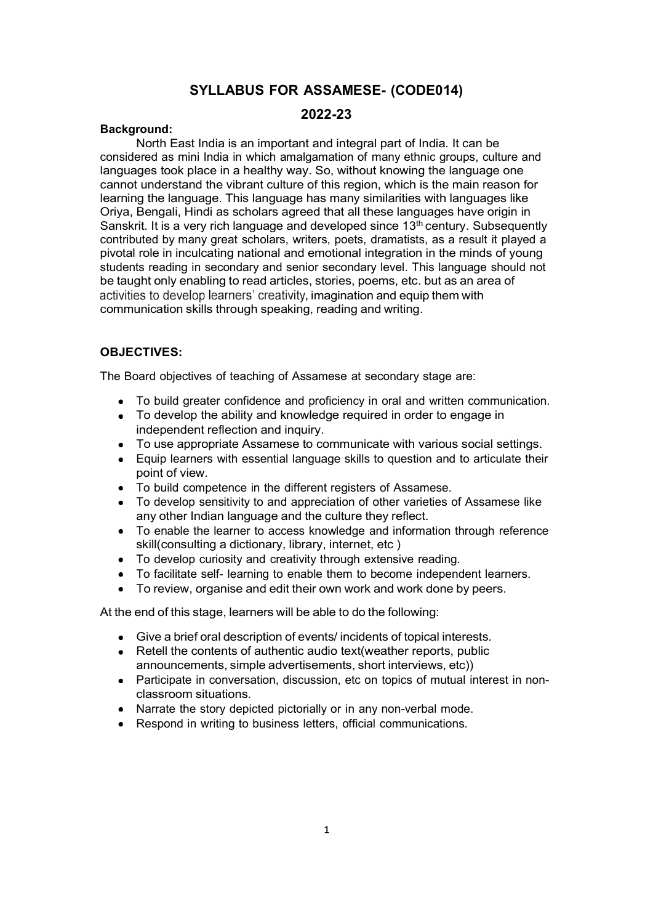#### SYLLABUS FOR ASSAMESE- (CODE014)

#### 2022-23

#### Background:

North East India is an important and integral part of India. It can be considered as mini India in which amalgamation of many ethnic groups, culture and languages took place in a healthy way. So, without knowing the language one cannot understand the vibrant culture of this region, which is the main reason for learning the language. This language has many similarities with languages like Oriya, Bengali, Hindi as scholars agreed that all these languages have origin in Sanskrit. It is a very rich language and developed since  $13<sup>th</sup>$  century. Subsequently contributed by many great scholars, writers, poets, dramatists, as a result it played a pivotal role in inculcating national and emotional integration in the minds of young students reading in secondary and senior secondary level. This language should not be taught only enabling to read articles, stories, poems, etc. but as an area of activities to develop learners' creativity, imagination and equip them with communication skills through speaking, reading and writing.

#### OBJECTIVES:

The Board objectives of teaching of Assamese at secondary stage are:

- To build greater confidence and proficiency in oral and written communication.
- To develop the ability and knowledge required in order to engage in independent reflection and inquiry.
- To use appropriate Assamese to communicate with various social settings.
- Equip learners with essential language skills to question and to articulate their  $\bullet$ point of view.
- To build competence in the different registers of Assamese.
- To develop sensitivity to and appreciation of other varieties of Assamese like any other Indian language and the culture they reflect.
- To enable the learner to access knowledge and information through reference  $\bullet$ skill(consulting a dictionary, library, internet, etc )
- To develop curiosity and creativity through extensive reading.
- To facilitate self- learning to enable them to become independent learners.
- To review, organise and edit their own work and work done by peers.

At the end of this stage, learners will be able to do the following:

- Give a brief oral description of events/ incidents of topical interests.
- Retell the contents of authentic audio text(weather reports, public announcements, simple advertisements, short interviews, etc))
- Participate in conversation, discussion, etc on topics of mutual interest in nonclassroom situations.
- Narrate the story depicted pictorially or in any non-verbal mode.
- Respond in writing to business letters, official communications.  $\bullet$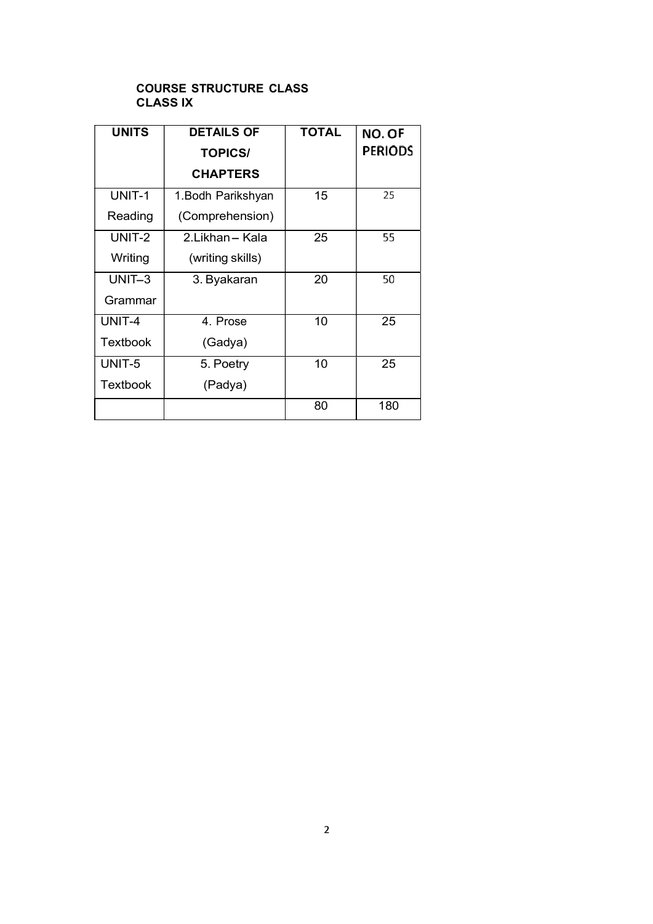#### COURSE STRUCTURE CLASS CLASS IX

| <b>UNITS</b>    | <b>DETAILS OF</b>  | <b>TOTAL</b> | NO. OF         |
|-----------------|--------------------|--------------|----------------|
|                 | <b>TOPICS/</b>     |              | <b>PERIODS</b> |
|                 | <b>CHAPTERS</b>    |              |                |
| UNIT-1          | 1. Bodh Parikshyan | 15           | 25             |
| Reading         | (Comprehension)    |              |                |
| UNIT-2          | 2.Likhan-Kala      | 25           | 55             |
| Writing         | (writing skills)   |              |                |
| UNIT-3          | 3. Byakaran        | 20           | 50             |
| Grammar         |                    |              |                |
| UNIT-4          | 4. Prose           | 10           | 25             |
| <b>Textbook</b> | (Gadya)            |              |                |
| UNIT-5          | 5. Poetry          | 10           | 25             |
| Textbook        | (Padya)            |              |                |
|                 |                    | 80           | 180            |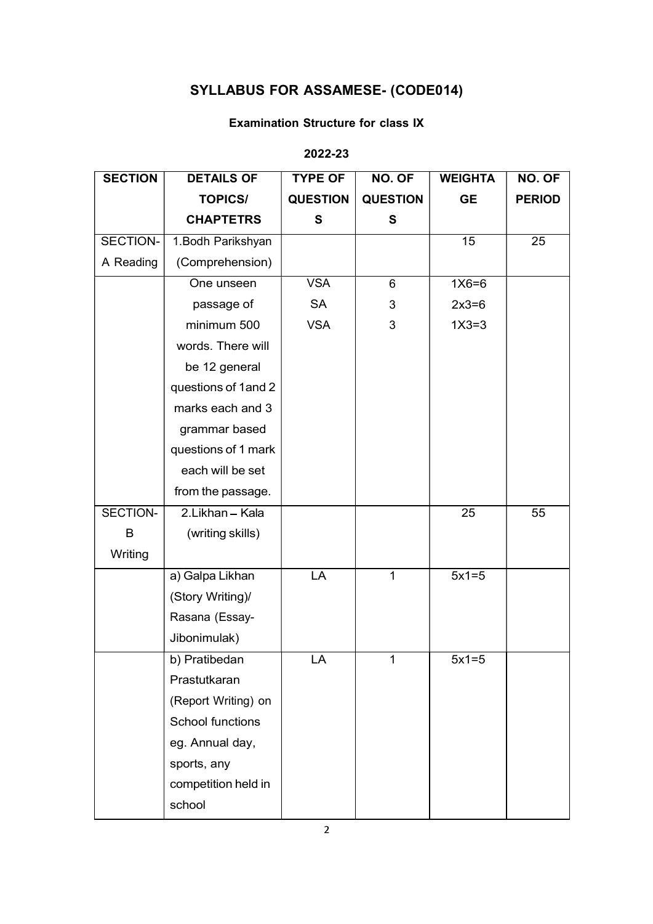# SYLLABUS FOR ASSAMESE- (CODE014)

### Examination Structure for class IX

## 2022-23

| <b>SECTION</b> | <b>DETAILS OF</b>       | <b>TYPE OF</b>  | NO. OF          | <b>WEIGHTA</b>  | NO. OF          |
|----------------|-------------------------|-----------------|-----------------|-----------------|-----------------|
|                | <b>TOPICS/</b>          | <b>QUESTION</b> | <b>QUESTION</b> | <b>GE</b>       | <b>PERIOD</b>   |
|                | <b>CHAPTETRS</b>        | S               | $\mathbf{s}$    |                 |                 |
| SECTION-       | 1. Bodh Parikshyan      |                 |                 | $\overline{15}$ | $\overline{25}$ |
| A Reading      | (Comprehension)         |                 |                 |                 |                 |
|                | One unseen              | <b>VSA</b>      | $6\phantom{1}$  | $1X6=6$         |                 |
|                | passage of              | SA              | 3               | $2x3=6$         |                 |
|                | minimum 500             | <b>VSA</b>      | 3               | $1X3=3$         |                 |
|                | words. There will       |                 |                 |                 |                 |
|                | be 12 general           |                 |                 |                 |                 |
|                | questions of 1 and 2    |                 |                 |                 |                 |
|                | marks each and 3        |                 |                 |                 |                 |
|                | grammar based           |                 |                 |                 |                 |
|                | questions of 1 mark     |                 |                 |                 |                 |
|                | each will be set        |                 |                 |                 |                 |
|                | from the passage.       |                 |                 |                 |                 |
| SECTION-       | 2.Likhan - Kala         |                 |                 | $\overline{25}$ | 55              |
| B              | (writing skills)        |                 |                 |                 |                 |
| Writing        |                         |                 |                 |                 |                 |
|                | a) Galpa Likhan         | LA              | $\mathbf{1}$    | $5x1=5$         |                 |
|                | (Story Writing)/        |                 |                 |                 |                 |
|                | Rasana (Essay-          |                 |                 |                 |                 |
|                | Jibonimulak)            |                 |                 |                 |                 |
|                | b) Pratibedan           | LA              | $\mathbf 1$     | $5x1=5$         |                 |
|                | Prastutkaran            |                 |                 |                 |                 |
|                | (Report Writing) on     |                 |                 |                 |                 |
|                | <b>School functions</b> |                 |                 |                 |                 |
|                | eg. Annual day,         |                 |                 |                 |                 |
|                | sports, any             |                 |                 |                 |                 |
|                | competition held in     |                 |                 |                 |                 |
|                | school                  |                 |                 |                 |                 |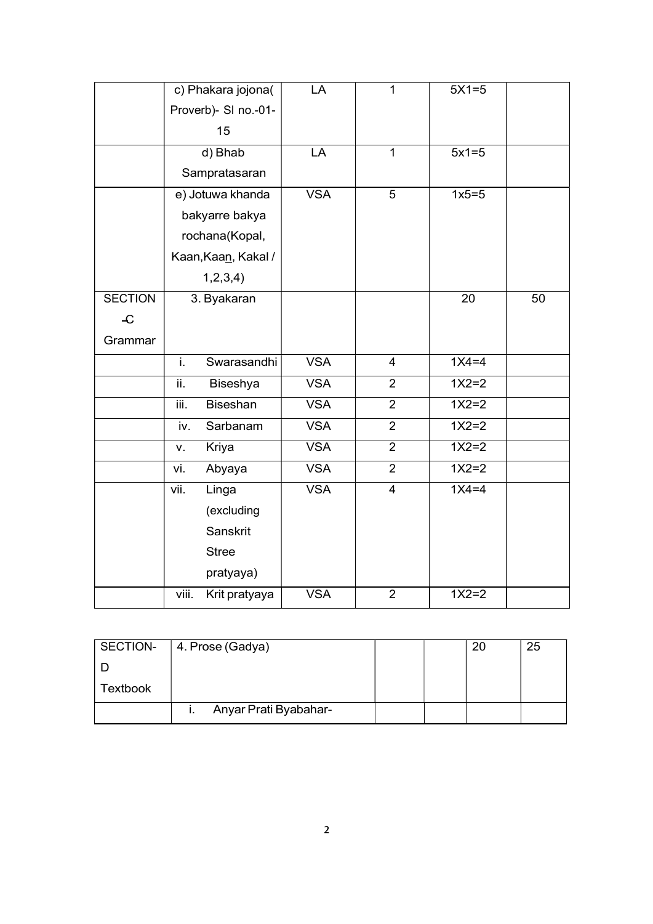|                         | c) Phakara jojona(      | LA         | $\mathbf{1}$   | $5X1=5$ |    |
|-------------------------|-------------------------|------------|----------------|---------|----|
|                         | Proverb)- SI no.-01-    |            |                |         |    |
|                         | 15                      |            |                |         |    |
|                         | d) Bhab                 | LA         | $\mathbf{1}$   | $5x1=5$ |    |
|                         | Sampratasaran           |            |                |         |    |
|                         | e) Jotuwa khanda        | <b>VSA</b> | 5              | $1x5=5$ |    |
|                         | bakyarre bakya          |            |                |         |    |
|                         | rochana(Kopal,          |            |                |         |    |
|                         | Kaan, Kaan, Kakal /     |            |                |         |    |
|                         | 1, 2, 3, 4)             |            |                |         |    |
| <b>SECTION</b>          | 3. Byakaran             |            |                | 20      | 50 |
| $\overline{\mathbf{C}}$ |                         |            |                |         |    |
| Grammar                 |                         |            |                |         |    |
|                         | i.<br>Swarasandhi       | <b>VSA</b> | $\overline{4}$ | $1X4=4$ |    |
|                         | ii.<br>Biseshya         | <b>VSA</b> | $\overline{2}$ | $1X2=2$ |    |
|                         | iii.<br><b>Biseshan</b> | <b>VSA</b> | $\overline{2}$ | $1X2=2$ |    |
|                         | Sarbanam<br>iv.         | <b>VSA</b> | $\overline{2}$ | $1X2=2$ |    |
|                         | Kriya<br>v.             | <b>VSA</b> | $\overline{2}$ | $1X2=2$ |    |
|                         | vi.<br>Abyaya           | <b>VSA</b> | $\overline{2}$ | $1X2=2$ |    |
|                         | vii.<br>Linga           | <b>VSA</b> | $\overline{4}$ | $1X4=4$ |    |
|                         | (excluding              |            |                |         |    |
|                         | Sanskrit                |            |                |         |    |
|                         | <b>Stree</b>            |            |                |         |    |
|                         | pratyaya)               |            |                |         |    |
|                         | viii.<br>Krit pratyaya  | <b>VSA</b> | $\overline{2}$ | $1X2=2$ |    |

| SECTION- | 4. Prose (Gadya)      |  | 25. |
|----------|-----------------------|--|-----|
|          |                       |  |     |
| Textbook |                       |  |     |
|          | Anyar Prati Byabahar- |  |     |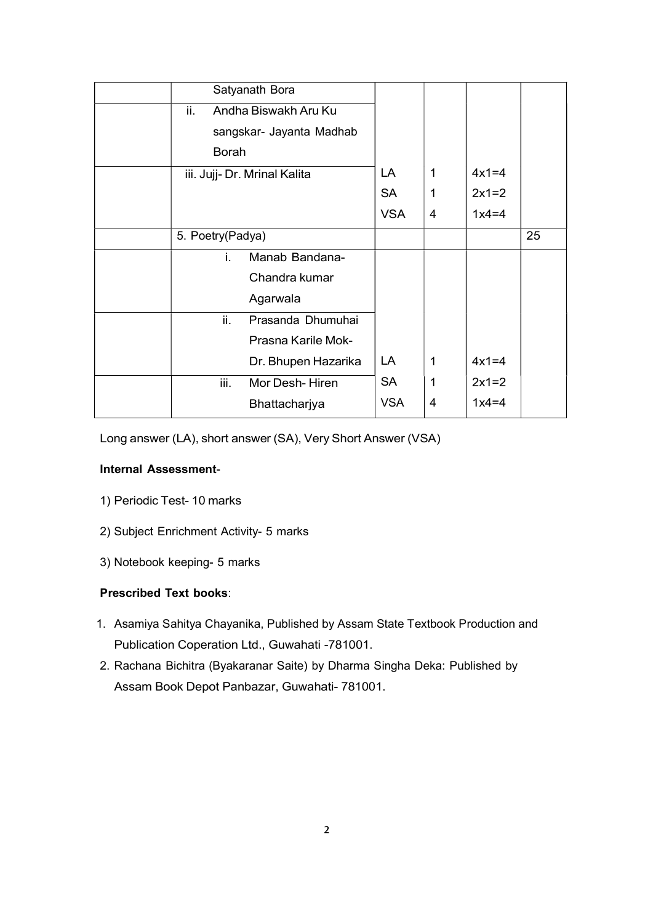|                  | Satyanath Bora               |            |              |         |    |  |
|------------------|------------------------------|------------|--------------|---------|----|--|
|                  |                              |            |              |         |    |  |
| ii.              | Andha Biswakh Aru Ku         |            |              |         |    |  |
|                  | sangskar- Jayanta Madhab     |            |              |         |    |  |
| Borah            |                              |            |              |         |    |  |
|                  | iii. Jujj- Dr. Mrinal Kalita | LA         | $\mathbf 1$  | $4x1=4$ |    |  |
|                  |                              | <b>SA</b>  | 1            | $2x1=2$ |    |  |
|                  |                              | <b>VSA</b> | 4            | $1x4=4$ |    |  |
| 5. Poetry(Padya) |                              |            |              |         | 25 |  |
| L.               | Manab Bandana-               |            |              |         |    |  |
|                  | Chandra kumar                |            |              |         |    |  |
|                  | Agarwala                     |            |              |         |    |  |
| ii.              | Prasanda Dhumuhai            |            |              |         |    |  |
|                  | Prasna Karile Mok-           |            |              |         |    |  |
|                  | Dr. Bhupen Hazarika          | LA         | $\mathbf{1}$ | $4x1=4$ |    |  |
| iii.             | Mor Desh-Hiren               | <b>SA</b>  | $\mathbf{1}$ | $2x1=2$ |    |  |
|                  | Bhattacharjya                | <b>VSA</b> | 4            | $1x4=4$ |    |  |
|                  |                              |            |              |         |    |  |

Long answer (LA), short answer (SA), Very Short Answer (VSA)

### Internal Assessment-

- 1) Periodic Test- 10 marks
- 2) Subject Enrichment Activity- 5 marks
- 3) Notebook keeping- 5 marks

#### Prescribed Text books:

- 1. Asamiya Sahitya Chayanika, Published by Assam State Textbook Production and Publication Coperation Ltd., Guwahati -781001.
- 2. Rachana Bichitra (Byakaranar Saite) by Dharma Singha Deka: Published by Assam Book Depot Panbazar, Guwahati- 781001.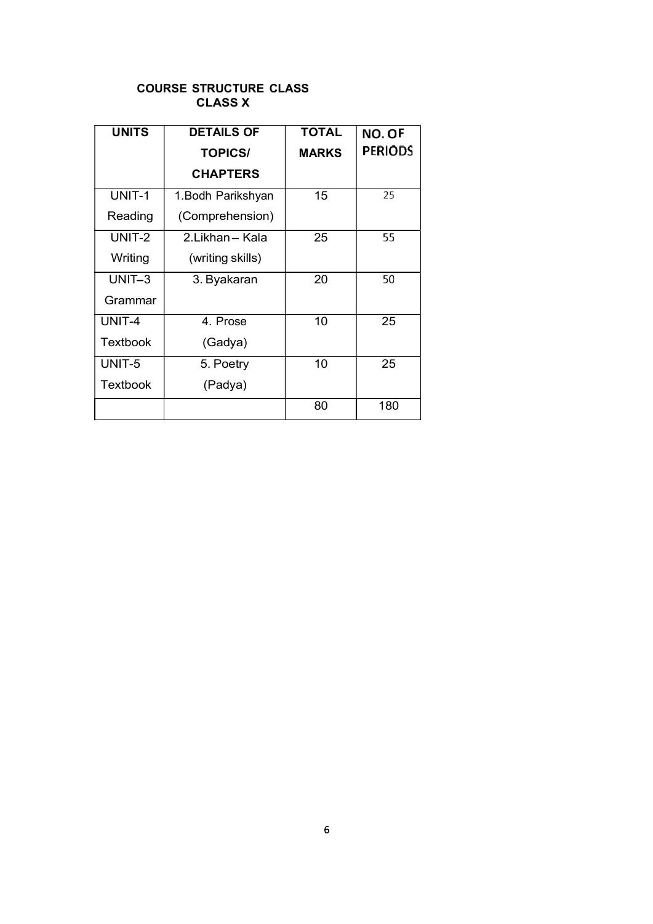### COURSE STRUCTURE CLASS CLASS X

| <b>UNITS</b>    | <b>DETAILS OF</b>  | <b>TOTAL</b> | NO. OF         |
|-----------------|--------------------|--------------|----------------|
|                 | <b>TOPICS/</b>     | <b>MARKS</b> | <b>PERIODS</b> |
|                 | <b>CHAPTERS</b>    |              |                |
| UNIT-1          | 1. Bodh Parikshyan | 15           | 25             |
| Reading         | (Comprehension)    |              |                |
| UNIT-2          | 2.Likhan-Kala      | 25           | 55             |
| Writing         | (writing skills)   |              |                |
| UNIT-3          | 3. Byakaran        | 20           | 50             |
| Grammar         |                    |              |                |
| UNIT-4          | 4. Prose           | 10           | 25             |
| <b>Textbook</b> | (Gadya)            |              |                |
| UNIT-5          | 5. Poetry          | 10           | 25             |
| Textbook        | (Padya)            |              |                |
|                 |                    | 80           | 180            |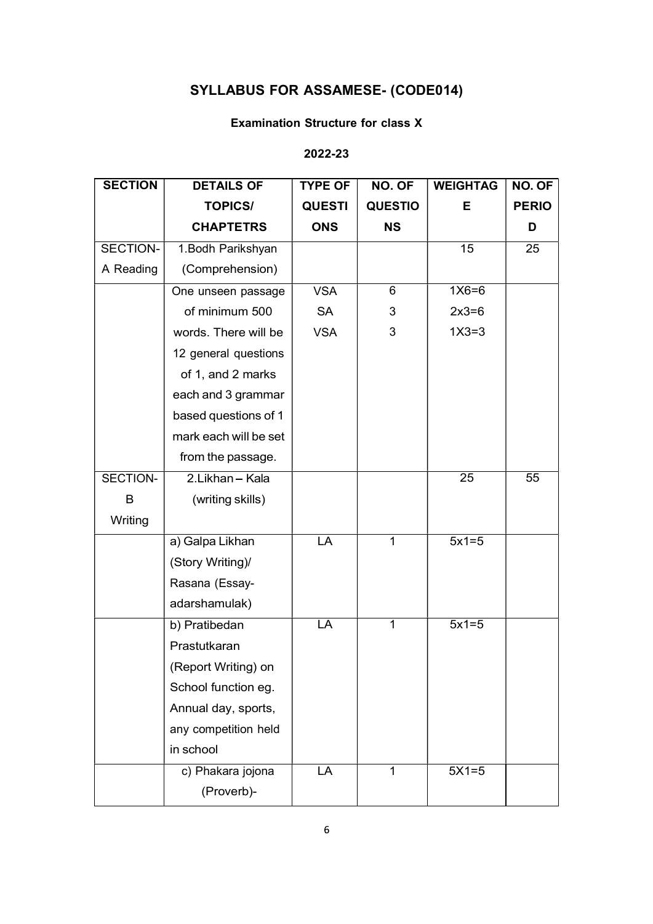# SYLLABUS FOR ASSAMESE- (CODE014)

### Examination Structure for class X

## 2022-23

| <b>SECTION</b> | <b>DETAILS OF</b>     | <b>TYPE OF</b> | NO. OF         | <b>WEIGHTAG</b> | NO. OF          |
|----------------|-----------------------|----------------|----------------|-----------------|-----------------|
|                | <b>TOPICS/</b>        | <b>QUESTI</b>  | <b>QUESTIO</b> | Е               | <b>PERIO</b>    |
|                | <b>CHAPTETRS</b>      | <b>ONS</b>     | <b>NS</b>      |                 | D               |
| SECTION-       | 1. Bodh Parikshyan    |                |                | 15              | 25              |
| A Reading      | (Comprehension)       |                |                |                 |                 |
|                | One unseen passage    | <b>VSA</b>     | $\overline{6}$ | $1X6=6$         |                 |
|                | of minimum 500        | <b>SA</b>      | 3              | $2x3=6$         |                 |
|                | words. There will be  | <b>VSA</b>     | 3              | $1X3=3$         |                 |
|                | 12 general questions  |                |                |                 |                 |
|                | of 1, and 2 marks     |                |                |                 |                 |
|                | each and 3 grammar    |                |                |                 |                 |
|                | based questions of 1  |                |                |                 |                 |
|                | mark each will be set |                |                |                 |                 |
|                | from the passage.     |                |                |                 |                 |
| SECTION-       | 2.Likhan - Kala       |                |                | $\overline{25}$ | $\overline{55}$ |
| B              | (writing skills)      |                |                |                 |                 |
| Writing        |                       |                |                |                 |                 |
|                | a) Galpa Likhan       | LA             | 1              | $5x1=5$         |                 |
|                | (Story Writing)/      |                |                |                 |                 |
|                | Rasana (Essay-        |                |                |                 |                 |
|                | adarshamulak)         |                |                |                 |                 |
|                | b) Pratibedan         | LA             | $\mathbf{1}$   | $5x1=5$         |                 |
|                | Prastutkaran          |                |                |                 |                 |
|                | (Report Writing) on   |                |                |                 |                 |
|                | School function eg.   |                |                |                 |                 |
|                | Annual day, sports,   |                |                |                 |                 |
|                | any competition held  |                |                |                 |                 |
|                | in school             |                |                |                 |                 |
|                | c) Phakara jojona     | LA             |                | $5X1=5$         |                 |
|                | (Proverb)-            |                |                |                 |                 |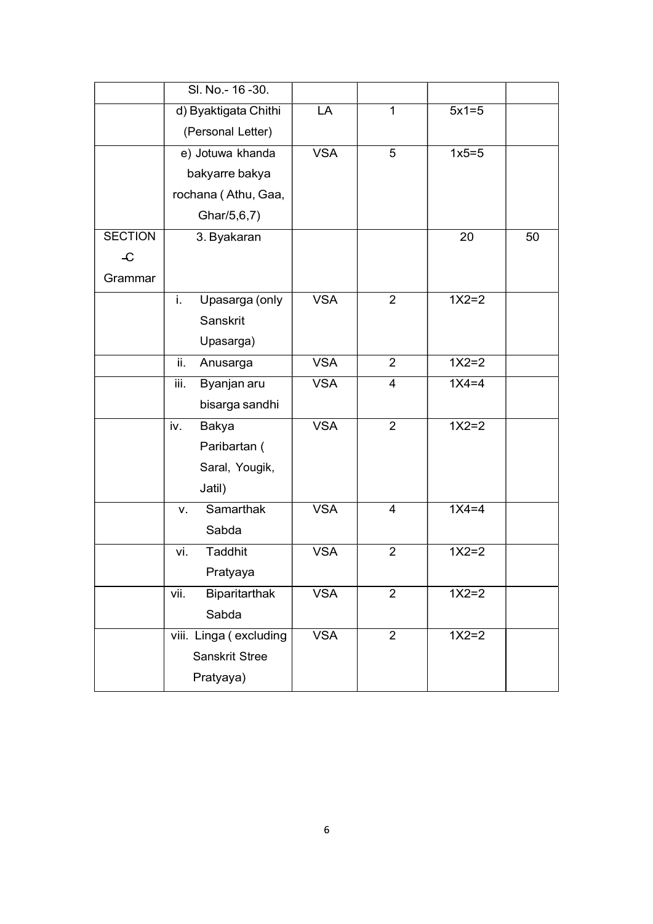|                | SI. No.- 16-30.        |            |                |         |    |
|----------------|------------------------|------------|----------------|---------|----|
|                | d) Byaktigata Chithi   | LA         | $\mathbf{1}$   | $5x1=5$ |    |
|                | (Personal Letter)      |            |                |         |    |
|                | e) Jotuwa khanda       | <b>VSA</b> | 5              | $1x5=5$ |    |
|                | bakyarre bakya         |            |                |         |    |
|                | rochana (Athu, Gaa,    |            |                |         |    |
|                | Ghar/5,6,7)            |            |                |         |    |
| <b>SECTION</b> | 3. Byakaran            |            |                | 20      | 50 |
| $\mathcal{L}$  |                        |            |                |         |    |
| Grammar        |                        |            |                |         |    |
|                | i.<br>Upasarga (only   | <b>VSA</b> | $\overline{2}$ | $1X2=2$ |    |
|                | Sanskrit               |            |                |         |    |
|                | Upasarga)              |            |                |         |    |
|                | ii.<br>Anusarga        | <b>VSA</b> | $\overline{2}$ | $1X2=2$ |    |
|                | Byanjan aru<br>iii.    | <b>VSA</b> | $\overline{4}$ | $1X4=4$ |    |
|                | bisarga sandhi         |            |                |         |    |
|                | <b>Bakya</b><br>iv.    | <b>VSA</b> | $\overline{2}$ | $1X2=2$ |    |
|                | Paribartan (           |            |                |         |    |
|                | Saral, Yougik,         |            |                |         |    |
|                | Jatil)                 |            |                |         |    |
|                | <b>Samarthak</b><br>V. | <b>VSA</b> | $\overline{4}$ | $1X4=4$ |    |
|                | Sabda                  |            |                |         |    |
|                | <b>Taddhit</b><br>vi.  | <b>VSA</b> | $\overline{2}$ | $1X2=2$ |    |
|                | Pratyaya               |            |                |         |    |
|                | Biparitarthak<br>vii.  | <b>VSA</b> | $\overline{2}$ | $1X2=2$ |    |
|                | Sabda                  |            |                |         |    |
|                | viii. Linga (excluding | <b>VSA</b> | $\overline{2}$ | $1X2=2$ |    |
|                | <b>Sanskrit Stree</b>  |            |                |         |    |
|                | Pratyaya)              |            |                |         |    |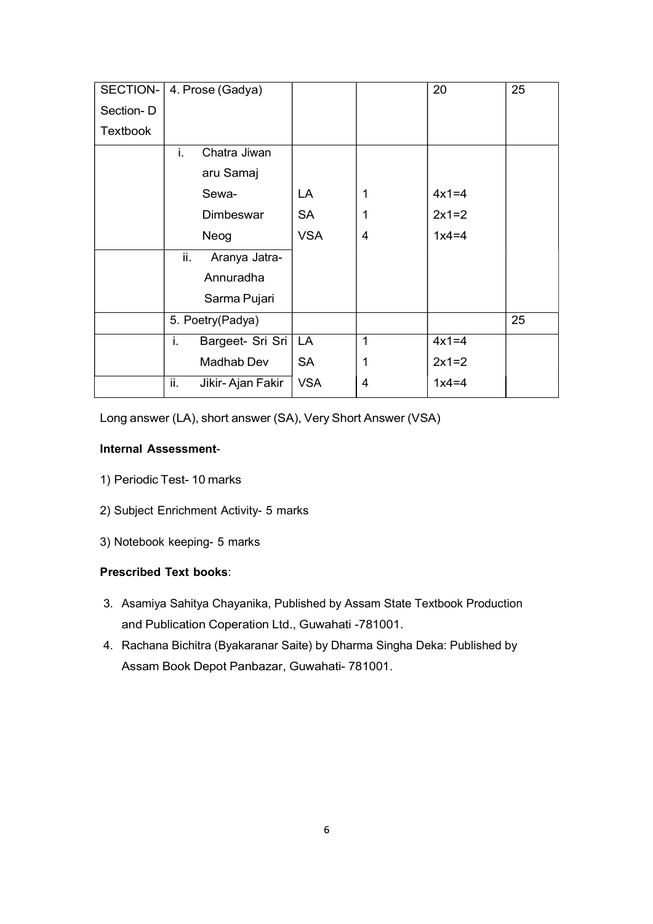| SECTION-  | 4. Prose (Gadya)            |            |                | 20      | 25 |
|-----------|-----------------------------|------------|----------------|---------|----|
| Section-D |                             |            |                |         |    |
| Textbook  |                             |            |                |         |    |
|           | i.<br>Chatra Jiwan          |            |                |         |    |
|           | aru Samaj                   |            |                |         |    |
|           | Sewa-                       | LA         | 1              | $4x1=4$ |    |
|           | Dimbeswar                   | <b>SA</b>  | 1              | $2x1=2$ |    |
|           | Neog                        | <b>VSA</b> | 4              | $1x4=4$ |    |
|           | ii.<br>Aranya Jatra-        |            |                |         |    |
|           | Annuradha                   |            |                |         |    |
|           | Sarma Pujari                |            |                |         |    |
|           | 5. Poetry(Padya)            |            |                |         | 25 |
|           | Bargeet- Sri Sri   LA<br>i. |            | $\mathbf 1$    | $4x1=4$ |    |
|           | Madhab Dev                  | <b>SA</b>  | 1              | $2x1=2$ |    |
|           | ii.<br>Jikir-Ajan Fakir     | <b>VSA</b> | $\overline{4}$ | $1x4=4$ |    |

Long answer (LA), short answer (SA), Very Short Answer (VSA)

#### Internal Assessment-

- 1) Periodic Test- 10 marks
- 2) Subject Enrichment Activity- 5 marks
- 3) Notebook keeping- 5 marks

## Prescribed Text books:

- 3. Asamiya Sahitya Chayanika, Published by Assam State Textbook Production and Publication Coperation Ltd., Guwahati -781001.
- 4. Rachana Bichitra (Byakaranar Saite) by Dharma Singha Deka: Published by Assam Book Depot Panbazar, Guwahati- 781001.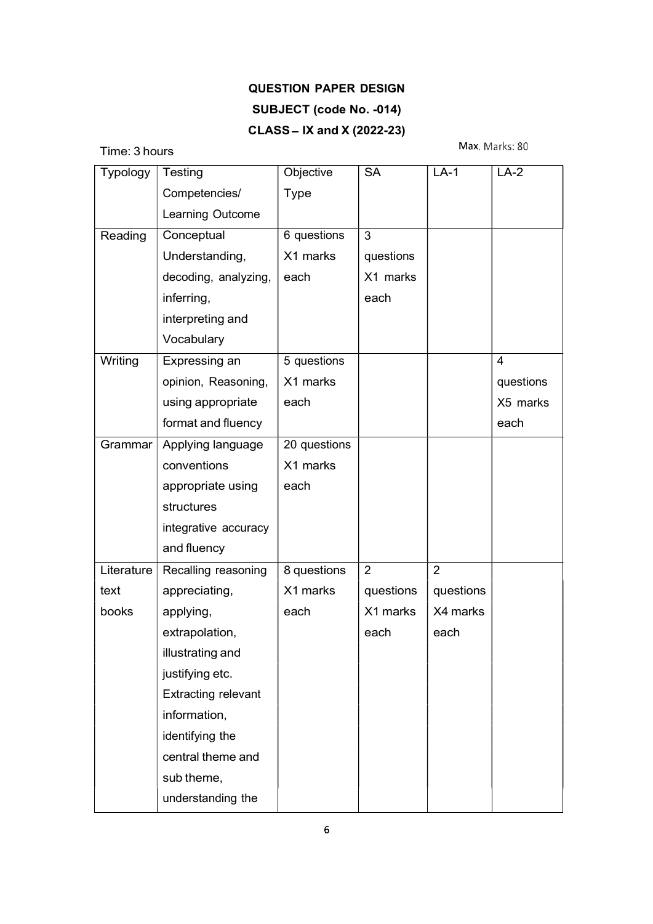# QUESTION PAPER DESIGN SUBJECT (code No. -014)  $CLASS - IX$  and  $X$  (2022-23)

Time: 3 hours

Max. Marks: 80

| Typology   | Testing                    | Objective    | <b>SA</b> | $LA-1$         | $LA-2$    |
|------------|----------------------------|--------------|-----------|----------------|-----------|
|            | Competencies/              | <b>Type</b>  |           |                |           |
|            | Learning Outcome           |              |           |                |           |
| Reading    | Conceptual                 | 6 questions  | 3         |                |           |
|            | Understanding,             | X1 marks     | questions |                |           |
|            | decoding, analyzing,       | each         | X1 marks  |                |           |
|            | inferring,                 |              | each      |                |           |
|            | interpreting and           |              |           |                |           |
|            | Vocabulary                 |              |           |                |           |
| Writing    | Expressing an              | 5 questions  |           |                | 4         |
|            | opinion, Reasoning,        | X1 marks     |           |                | questions |
|            | using appropriate          | each         |           |                | X5 marks  |
|            | format and fluency         |              |           |                | each      |
| Grammar    | Applying language          | 20 questions |           |                |           |
|            | conventions                | X1 marks     |           |                |           |
|            | appropriate using          | each         |           |                |           |
|            | structures                 |              |           |                |           |
|            | integrative accuracy       |              |           |                |           |
|            | and fluency                |              |           |                |           |
| Literature | Recalling reasoning        | 8 questions  | 2         | $\overline{2}$ |           |
| text       | appreciating,              | X1 marks     | questions | questions      |           |
| books      | applying,                  | each         | X1 marks  | X4 marks       |           |
|            | extrapolation,             |              | each      | each           |           |
|            | illustrating and           |              |           |                |           |
|            | justifying etc.            |              |           |                |           |
|            | <b>Extracting relevant</b> |              |           |                |           |
|            | information,               |              |           |                |           |
|            | identifying the            |              |           |                |           |
|            | central theme and          |              |           |                |           |
|            | sub theme,                 |              |           |                |           |
|            | understanding the          |              |           |                |           |